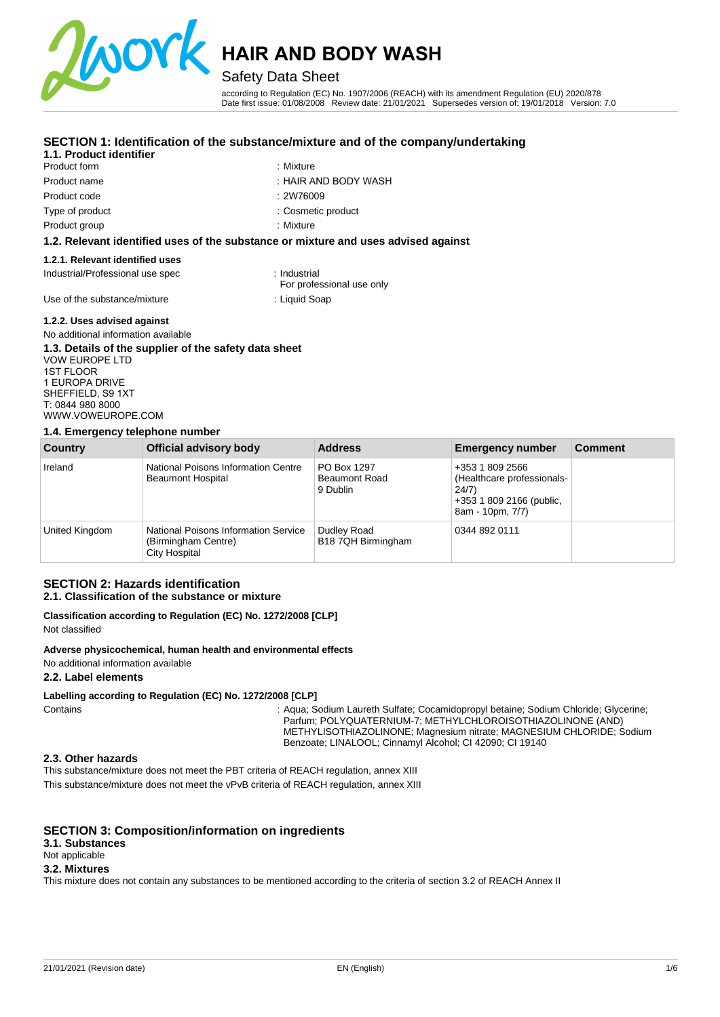

## Safety Data Sheet

according to Regulation (EC) No. 1907/2006 (REACH) with its amendment Regulation (EU) 2020/878 Date first issue: 01/08/2008 Review date: 21/01/2021 Supersedes version of: 19/01/2018 Version: 7.0

#### **SECTION 1: Identification of the substance/mixture and of the company/undertaking**

#### **1.1. Product identifier**

- Product form **: Mixture** : Mixture Product name : HAIR AND BODY WASH Product code Type of product Product group
	-
	- : 2W76009

: Mixture

: Cosmetic product

#### **1.2. Relevant identified uses of the substance or mixture and uses advised against**

#### **1.2.1. Relevant identified uses**

Industrial/Professional use spec : Industrial

For professional use only

Use of the substance/mixture : Liquid Soap

#### **1.2.2. Uses advised against**

#### No additional information available **1.3. Details of the supplier of the safety data sheet**

VOW EUROPE LTD 1ST FLOOR 1 EUROPA DRIVE SHEFFIELD, S9 1XT T: 0844 980 8000 [WWW.VOWEUROPE.COM](mailto:info@cloverchemicals.com)

#### **1.4. Emergency telephone number**

| Country        | Official advisory body                                                       | <b>Address</b>                                  | <b>Emergency number</b>                                                                                | <b>Comment</b> |
|----------------|------------------------------------------------------------------------------|-------------------------------------------------|--------------------------------------------------------------------------------------------------------|----------------|
| Ireland        | National Poisons Information Centre<br><b>Beaumont Hospital</b>              | PO Box 1297<br><b>Beaumont Road</b><br>9 Dublin | +353 1 809 2566<br>(Healthcare professionals-<br>24/7)<br>+353 1 809 2166 (public,<br>8am - 10pm, 7/7) |                |
| United Kingdom | National Poisons Information Service<br>(Birmingham Centre)<br>City Hospital | Dudley Road<br>B18 7QH Birmingham               | 0344 892 0111                                                                                          |                |

#### **SECTION 2: Hazards identification 2.1. Classification of the substance or mixture**

## **Classification according to Regulation (EC) No. 1272/2008 [CLP]**

Not classified

#### **Adverse physicochemical, human health and environmental effects**

No additional information available

#### **2.2. Label elements**

#### **Labelling according to Regulation (EC) No. 1272/2008 [CLP]**

Contains : Aqua; Sodium Laureth Sulfate; Cocamidopropyl betaine; Sodium Chloride; Glycerine; Parfum; POLYQUATERNIUM-7; METHYLCHLOROISOTHIAZOLINONE (AND) METHYLISOTHIAZOLINONE; Magnesium nitrate; MAGNESIUM CHLORIDE; Sodium Benzoate; LINALOOL; Cinnamyl Alcohol; CI 42090; CI 19140

#### **2.3. Other hazards**

This substance/mixture does not meet the PBT criteria of REACH regulation, annex XIII This substance/mixture does not meet the vPvB criteria of REACH regulation, annex XIII

### **SECTION 3: Composition/information on ingredients**

### **3.1. Substances**

Not applicable

### **3.2. Mixtures**

This mixture does not contain any substances to be mentioned according to the criteria of section 3.2 of REACH Annex II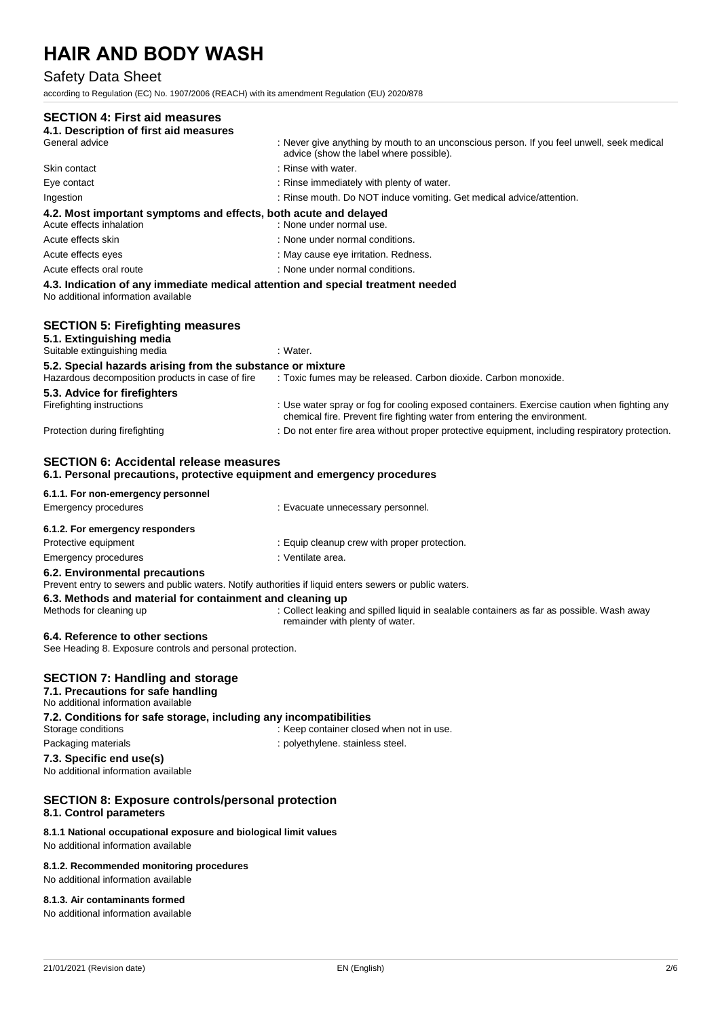### Safety Data Sheet

## according to Regulation (EC) No. 1907/2006 (REACH) with its amendment Regulation (EU) 2020/878 **SECTION 4: First aid measures 4.1. Description of first aid measures**  : Never give anything by mouth to an unconscious person. If you feel unwell, seek medical advice (show the label where possible). Skin contact : and the set of the set of the set of the set of the set of the set of the set of the set of the set of the set of the set of the set of the set of the set of the set of the set of the set of the set of the s Eye contact in the state of the contact in the contact in the contact in the contact in the contact in the contact in the contact in the contact in the contact in the contact in the contact in the contact in the contact in Ingestion : Rinse mouth. Do NOT induce vomiting. Get medical advice/attention. **4.2. Most important symptoms and effects, both acute and delayed**  Acute effects inhalation : None under normal use. Acute effects skin : None under normal conditions. Acute effects eyes **in the contract of the contract of the contract of the contract of the contract of the contract of the contract of the contract of the contract of the contract of the contract of the contract of the con** Acute effects oral route  $\blacksquare$ : None under normal conditions. **4.3. Indication of any immediate medical attention and special treatment needed**  No additional information available **SECTION 5: Firefighting measures 5.1. Extinguishing media**  Suitable extinguishing media : Water. **5.2. Special hazards arising from the substance or mixture**  Hazardous decomposition products in case of fire : Toxic fumes may be released. Carbon dioxide. Carbon monoxide. **5.3. Advice for firefighters**  Firefighting instructions : Use water spray or fog for cooling exposed containers. Exercise caution when fighting any chemical fire. Prevent fire fighting water from entering the environment. Protection during firefighting  $\blacksquare$ : Do not enter fire area without proper protective equipment, including respiratory protection. **SECTION 6: Accidental release measures 6.1. Personal precautions, protective equipment and emergency procedures 6.1.1. For non-emergency personnel**  Emergency procedures in the state of the case of the Evacuate unnecessary personnel. **6.1.2. For emergency responders**  Protective equipment **in the case of the Contract Contract Equip** cleanup crew with proper protection. Emergency procedures in the set of the set of the set of the set of the set of the set of the set of the set of the set of the set of the set of the set of the set of the set of the set of the set of the set of the set of **6.2. Environmental precautions** Prevent entry to sewers and public waters. Notify authorities if liquid enters sewers or public waters.

#### **6.3. Methods and material for containment and cleaning up**

Methods for cleaning up : Collect leaking and spilled liquid in sealable containers as far as possible. Wash away remainder with plenty of water.

#### **6.4. Reference to other sections**

See Heading 8. Exposure controls and personal protection.

### **SECTION 7: Handling and storage**

**7.1. Precautions for safe handling**  No additional information available **7.2. Conditions for safe storage, including any incompatibilities**  Storage conditions **Storage conditions** : Keep container closed when not in use. Packaging materials **Packaging materials** : polyethylene. stainless steel. **7.3. Specific end use(s)**  No additional information available

#### **SECTION 8: Exposure controls/personal protection 8.1. Control parameters**

#### **8.1.1 National occupational exposure and biological limit values**

No additional information available

#### **8.1.2. Recommended monitoring procedures**

No additional information available

#### **8.1.3. Air contaminants formed**

No additional information available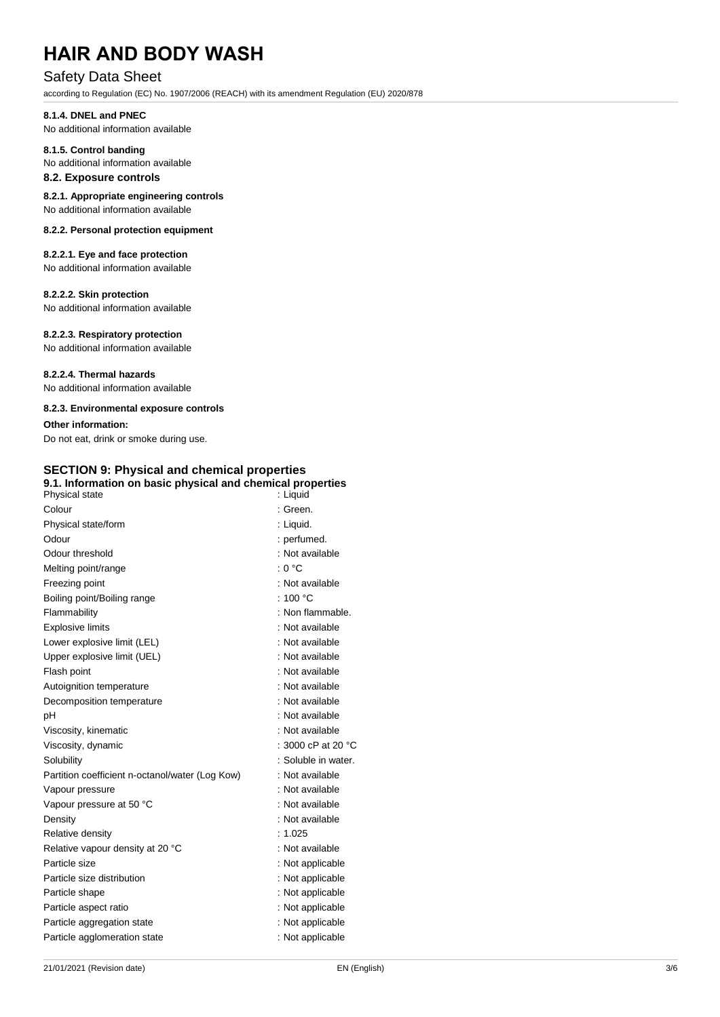## Safety Data Sheet

according to Regulation (EC) No. 1907/2006 (REACH) with its amendment Regulation (EU) 2020/878

#### **8.1.4. DNEL and PNEC**

No additional information available

## **8.1.5. Control banding**

No additional information available

## **8.2. Exposure controls**

**8.2.1. Appropriate engineering controls**  No additional information available

#### **8.2.2. Personal protection equipment**

#### **8.2.2.1. Eye and face protection** No additional information available

### **8.2.2.2. Skin protection**

No additional information available

#### **8.2.2.3. Respiratory protection**

No additional information available

#### **8.2.2.4. Thermal hazards**

No additional information available

#### **8.2.3. Environmental exposure controls**

#### **Other information:**

Do not eat, drink or smoke during use.

## **SECTION 9: Physical and chemical properties**

| 9.1. Information on basic physical and chemical properties<br>Physical state | : Liquid                     |
|------------------------------------------------------------------------------|------------------------------|
| Colour                                                                       | : Green.                     |
| Physical state/form                                                          | : Liquid.                    |
| Odour                                                                        | : perfumed.                  |
| Odour threshold                                                              | : Not available              |
| Melting point/range                                                          | : 0 °C                       |
| Freezing point                                                               | : Not available              |
| Boiling point/Boiling range                                                  | : 100 $^{\circ}$ C           |
| Flammability                                                                 | : Non flammable.             |
| <b>Explosive limits</b>                                                      | : Not available              |
| Lower explosive limit (LEL)                                                  | : Not available              |
| Upper explosive limit (UEL)                                                  | : Not available              |
| Flash point                                                                  | : Not available              |
| Autoignition temperature                                                     | : Not available              |
| Decomposition temperature                                                    | : Not available              |
| рH                                                                           | : Not available              |
| Viscosity, kinematic                                                         | : Not available              |
| Viscosity, dynamic                                                           | : 3000 cP at 20 $^{\circ}$ C |
| Solubility                                                                   | : Soluble in water.          |
| Partition coefficient n-octanol/water (Log Kow)                              | : Not available              |
| Vapour pressure                                                              | : Not available              |
| Vapour pressure at 50 °C                                                     | : Not available              |
| Density                                                                      | : Not available              |
| Relative density                                                             | : $1.025$                    |
| Relative vapour density at 20 °C                                             | : Not available              |
| Particle size                                                                | : Not applicable             |
| Particle size distribution                                                   | : Not applicable             |
| Particle shape                                                               | : Not applicable             |
| Particle aspect ratio                                                        | : Not applicable             |
| Particle aggregation state                                                   | : Not applicable             |
| Particle agglomeration state                                                 | : Not applicable             |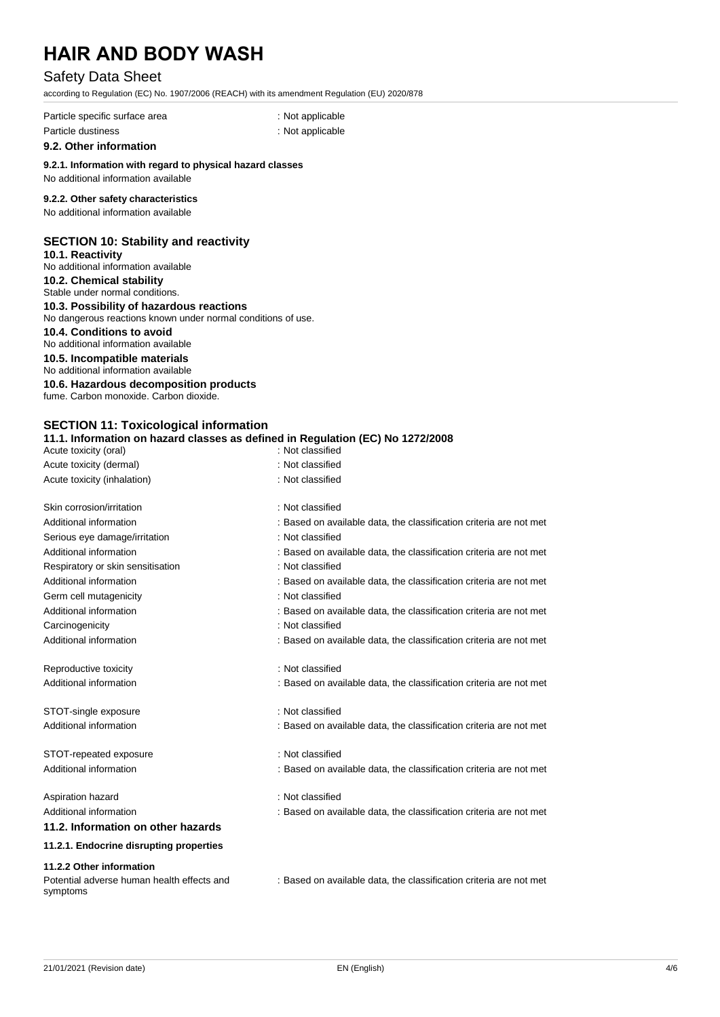## Safety Data Sheet

according to Regulation (EC) No. 1907/2006 (REACH) with its amendment Regulation (EU) 2020/878

Particle specific surface area : Not applicable : Not applicable Particle dustiness in the contract of the contract of the contract of the contract of the contract of the contract of the contract of the contract of the contract of the contract of the contract of the contract of the cont

**9.2. Other information** 

### **9.2.1. Information with regard to physical hazard classes**

## No additional information available

### **9.2.2. Other safety characteristics**

No additional information available

#### **SECTION 10: Stability and reactivity**

**10.1. Reactivity**  No additional information available **10.2. Chemical stability** 

Stable under normal conditions.

**10.3. Possibility of hazardous reactions**  No dangerous reactions known under normal conditions of use.

#### **10.4. Conditions to avoid**

No additional information available

#### **10.5. Incompatible materials**

No additional information available

**10.6. Hazardous decomposition products** 

fume. Carbon monoxide. Carbon dioxide.

## **SECTION 11: Toxicological information**

#### **11.1. Information on hazard classes as defined in Regulation (EC) No 1272/2008**  $A$ cute toxicity (oral)

| Acute toxicity (oral)                                  |                                                                    |  |  |
|--------------------------------------------------------|--------------------------------------------------------------------|--|--|
| Acute toxicity (dermal)                                | : Not classified                                                   |  |  |
| Acute toxicity (inhalation)                            | : Not classified                                                   |  |  |
| Skin corrosion/irritation                              | : Not classified                                                   |  |  |
| Additional information                                 | : Based on available data, the classification criteria are not met |  |  |
| Serious eye damage/irritation                          | : Not classified                                                   |  |  |
| Additional information                                 | : Based on available data, the classification criteria are not met |  |  |
| Respiratory or skin sensitisation                      | : Not classified                                                   |  |  |
| Additional information                                 | : Based on available data, the classification criteria are not met |  |  |
| Germ cell mutagenicity                                 | : Not classified                                                   |  |  |
| Additional information                                 | : Based on available data, the classification criteria are not met |  |  |
| Carcinogenicity                                        | : Not classified                                                   |  |  |
| Additional information                                 | : Based on available data, the classification criteria are not met |  |  |
| Reproductive toxicity                                  | : Not classified                                                   |  |  |
| Additional information                                 | : Based on available data, the classification criteria are not met |  |  |
| STOT-single exposure                                   | : Not classified                                                   |  |  |
| Additional information                                 | : Based on available data, the classification criteria are not met |  |  |
| STOT-repeated exposure                                 | : Not classified                                                   |  |  |
| Additional information                                 | : Based on available data, the classification criteria are not met |  |  |
| Aspiration hazard                                      | : Not classified                                                   |  |  |
| Additional information                                 | : Based on available data, the classification criteria are not met |  |  |
| 11.2. Information on other hazards                     |                                                                    |  |  |
| 11.2.1. Endocrine disrupting properties                |                                                                    |  |  |
| 11.2.2 Other information                               |                                                                    |  |  |
| Potential adverse human health effects and<br>symptoms | : Based on available data, the classification criteria are not met |  |  |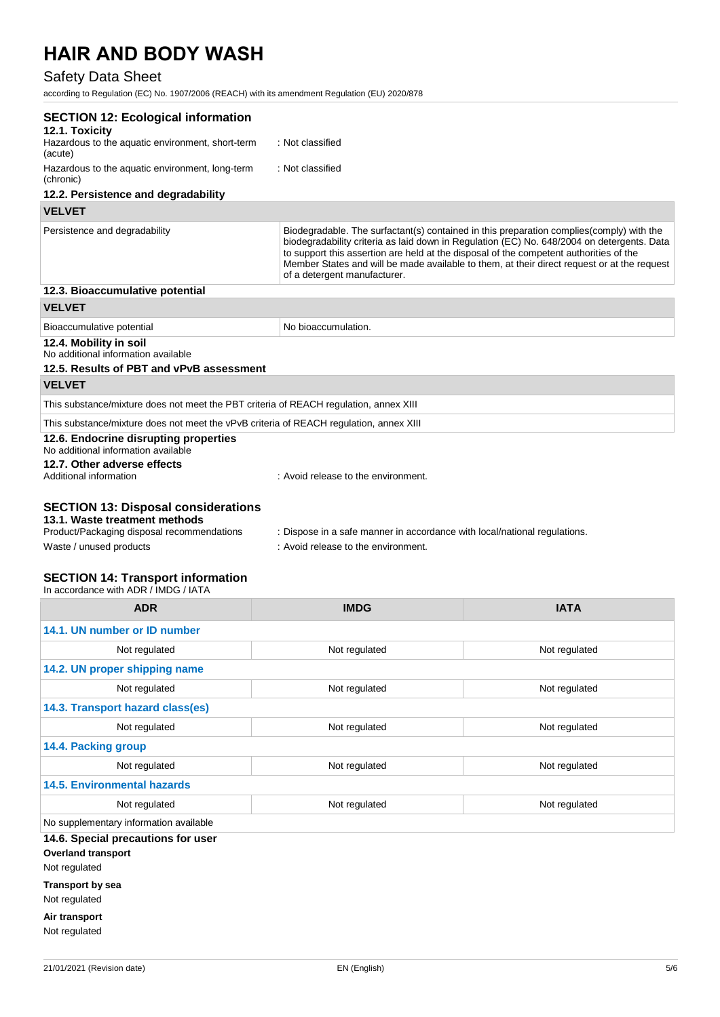## Safety Data Sheet

according to Regulation (EC) No. 1907/2006 (REACH) with its amendment Regulation (EU) 2020/878

| <b>SECTION 12: Ecological information</b>                                                                                                            |                                                                                                                                                                                                                                                                                                                                                                                                                 |
|------------------------------------------------------------------------------------------------------------------------------------------------------|-----------------------------------------------------------------------------------------------------------------------------------------------------------------------------------------------------------------------------------------------------------------------------------------------------------------------------------------------------------------------------------------------------------------|
| 12.1. Toxicity<br>Hazardous to the aquatic environment, short-term<br>(acute)                                                                        | : Not classified                                                                                                                                                                                                                                                                                                                                                                                                |
| Hazardous to the aquatic environment, long-term<br>(chronic)                                                                                         | : Not classified                                                                                                                                                                                                                                                                                                                                                                                                |
| 12.2. Persistence and degradability                                                                                                                  |                                                                                                                                                                                                                                                                                                                                                                                                                 |
| <b>VELVET</b>                                                                                                                                        |                                                                                                                                                                                                                                                                                                                                                                                                                 |
| Persistence and degradability                                                                                                                        | Biodegradable. The surfactant(s) contained in this preparation complies(comply) with the<br>biodegradability criteria as laid down in Regulation (EC) No. 648/2004 on detergents. Data<br>to support this assertion are held at the disposal of the competent authorities of the<br>Member States and will be made available to them, at their direct request or at the request<br>of a detergent manufacturer. |
| 12.3. Bioaccumulative potential                                                                                                                      |                                                                                                                                                                                                                                                                                                                                                                                                                 |
| <b>VELVET</b>                                                                                                                                        |                                                                                                                                                                                                                                                                                                                                                                                                                 |
| Bioaccumulative potential                                                                                                                            | No bioaccumulation.                                                                                                                                                                                                                                                                                                                                                                                             |
| 12.4. Mobility in soil<br>No additional information available<br>12.5. Results of PBT and vPvB assessment                                            |                                                                                                                                                                                                                                                                                                                                                                                                                 |
| <b>VELVET</b>                                                                                                                                        |                                                                                                                                                                                                                                                                                                                                                                                                                 |
| This substance/mixture does not meet the PBT criteria of REACH regulation, annex XIII                                                                |                                                                                                                                                                                                                                                                                                                                                                                                                 |
| This substance/mixture does not meet the vPvB criteria of REACH regulation, annex XIII                                                               |                                                                                                                                                                                                                                                                                                                                                                                                                 |
| 12.6. Endocrine disrupting properties<br>No additional information available                                                                         |                                                                                                                                                                                                                                                                                                                                                                                                                 |
| 12.7. Other adverse effects<br>Additional information                                                                                                | : Avoid release to the environment.                                                                                                                                                                                                                                                                                                                                                                             |
| <b>SECTION 13: Disposal considerations</b><br>13.1. Waste treatment methods<br>Product/Packaging disposal recommendations<br>Waste / unused products | : Dispose in a safe manner in accordance with local/national regulations.<br>: Avoid release to the environment.                                                                                                                                                                                                                                                                                                |
| <b>SECTION 14: Transport information</b>                                                                                                             |                                                                                                                                                                                                                                                                                                                                                                                                                 |

| In accordance with ADR / IMDG / IATA   |               |               |  |  |  |  |
|----------------------------------------|---------------|---------------|--|--|--|--|
| <b>ADR</b>                             | <b>IMDG</b>   | <b>IATA</b>   |  |  |  |  |
| 14.1. UN number or ID number           |               |               |  |  |  |  |
| Not regulated                          | Not regulated | Not regulated |  |  |  |  |
| 14.2. UN proper shipping name          |               |               |  |  |  |  |
| Not regulated                          | Not regulated | Not regulated |  |  |  |  |
| 14.3. Transport hazard class(es)       |               |               |  |  |  |  |
| Not regulated                          | Not regulated | Not regulated |  |  |  |  |
| 14.4. Packing group                    |               |               |  |  |  |  |
| Not regulated                          | Not regulated | Not regulated |  |  |  |  |
| <b>14.5. Environmental hazards</b>     |               |               |  |  |  |  |
| Not regulated                          | Not regulated | Not regulated |  |  |  |  |
| No supplementary information available |               |               |  |  |  |  |
| 14.6. Special precautions for user     |               |               |  |  |  |  |
| <b>Overland transport</b>              |               |               |  |  |  |  |
| Not regulated                          |               |               |  |  |  |  |
| <b>Transport by sea</b>                |               |               |  |  |  |  |
| Not regulated                          |               |               |  |  |  |  |

**Air transport** Not regulated